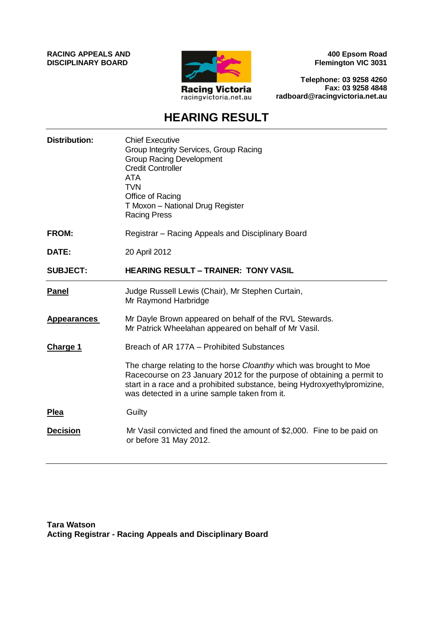**RACING APPEALS AND DISCIPLINARY BOARD**



**400 Epsom Road Flemington VIC 3031**

**Telephone: 03 9258 4260 Fax: 03 9258 4848 radboard@racingvictoria.net.au**

# **HEARING RESULT**

| <b>Distribution:</b> | <b>Chief Executive</b><br>Group Integrity Services, Group Racing<br><b>Group Racing Development</b><br><b>Credit Controller</b><br><b>ATA</b><br><b>TVN</b><br>Office of Racing<br>T Moxon - National Drug Register<br><b>Racing Press</b>                                |
|----------------------|---------------------------------------------------------------------------------------------------------------------------------------------------------------------------------------------------------------------------------------------------------------------------|
| <b>FROM:</b>         | Registrar – Racing Appeals and Disciplinary Board                                                                                                                                                                                                                         |
| DATE:                | 20 April 2012                                                                                                                                                                                                                                                             |
| <b>SUBJECT:</b>      | <b>HEARING RESULT – TRAINER: TONY VASIL</b>                                                                                                                                                                                                                               |
| Panel                | Judge Russell Lewis (Chair), Mr Stephen Curtain,<br>Mr Raymond Harbridge                                                                                                                                                                                                  |
| <b>Appearances</b>   | Mr Dayle Brown appeared on behalf of the RVL Stewards.<br>Mr Patrick Wheelahan appeared on behalf of Mr Vasil.                                                                                                                                                            |
| <b>Charge 1</b>      | Breach of AR 177A – Prohibited Substances                                                                                                                                                                                                                                 |
|                      | The charge relating to the horse Cloanthy which was brought to Moe<br>Racecourse on 23 January 2012 for the purpose of obtaining a permit to<br>start in a race and a prohibited substance, being Hydroxyethylpromizine,<br>was detected in a urine sample taken from it. |
| <b>Plea</b>          | Guilty                                                                                                                                                                                                                                                                    |
| <b>Decision</b>      | Mr Vasil convicted and fined the amount of \$2,000. Fine to be paid on<br>or before 31 May 2012.                                                                                                                                                                          |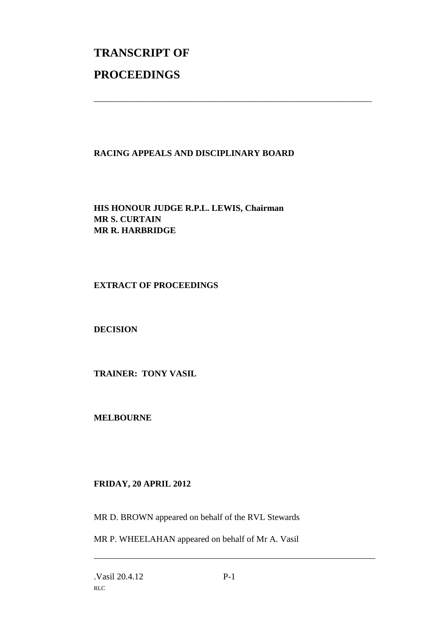# **TRANSCRIPT OF PROCEEDINGS**

## **RACING APPEALS AND DISCIPLINARY BOARD**

\_\_\_\_\_\_\_\_\_\_\_\_\_\_\_\_\_\_\_\_\_\_\_\_\_\_\_\_\_\_\_\_\_\_\_\_\_\_\_\_\_\_\_\_\_\_\_\_\_\_\_\_\_\_\_\_\_\_\_\_\_\_\_

**HIS HONOUR JUDGE R.P.L. LEWIS, Chairman MR S. CURTAIN MR R. HARBRIDGE**

#### **EXTRACT OF PROCEEDINGS**

#### **DECISION**

**TRAINER: TONY VASIL**

**MELBOURNE**

### **FRIDAY, 20 APRIL 2012**

MR D. BROWN appeared on behalf of the RVL Stewards

MR P. WHEELAHAN appeared on behalf of Mr A. Vasil